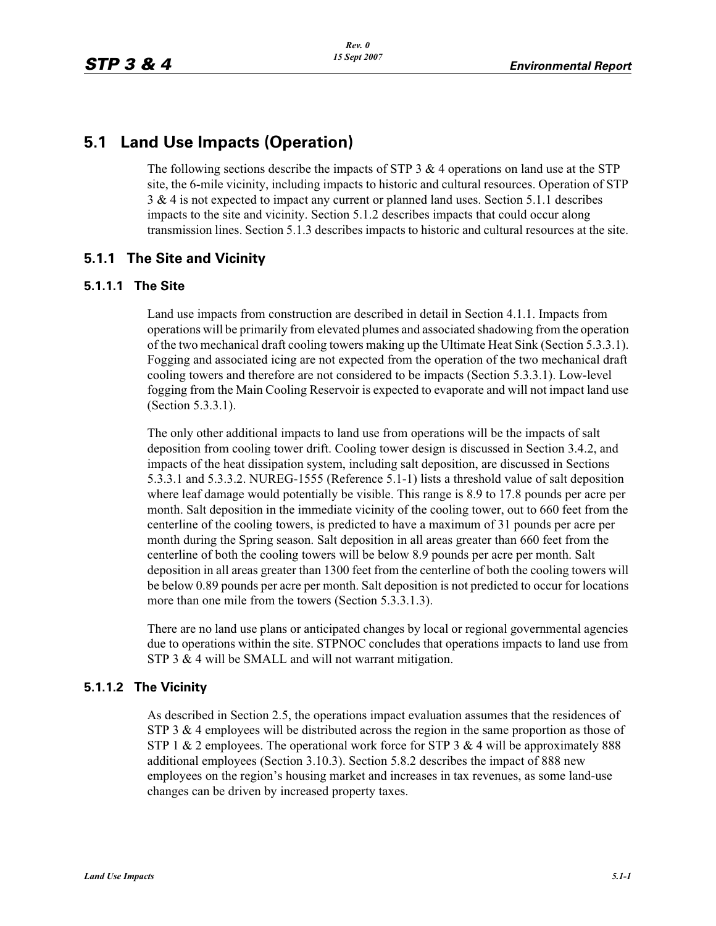# **5.1 Land Use Impacts (Operation)**

The following sections describe the impacts of STP 3  $\&$  4 operations on land use at the STP site, the 6-mile vicinity, including impacts to historic and cultural resources. Operation of STP 3 & 4 is not expected to impact any current or planned land uses. Section 5.1.1 describes impacts to the site and vicinity. Section 5.1.2 describes impacts that could occur along transmission lines. Section 5.1.3 describes impacts to historic and cultural resources at the site.

## **5.1.1 The Site and Vicinity**

#### **5.1.1.1 The Site**

Land use impacts from construction are described in detail in Section 4.1.1. Impacts from operations will be primarily from elevated plumes and associated shadowing from the operation of the two mechanical draft cooling towers making up the Ultimate Heat Sink (Section 5.3.3.1). Fogging and associated icing are not expected from the operation of the two mechanical draft cooling towers and therefore are not considered to be impacts (Section 5.3.3.1). Low-level fogging from the Main Cooling Reservoir is expected to evaporate and will not impact land use (Section 5.3.3.1).

The only other additional impacts to land use from operations will be the impacts of salt deposition from cooling tower drift. Cooling tower design is discussed in Section 3.4.2, and impacts of the heat dissipation system, including salt deposition, are discussed in Sections 5.3.3.1 and 5.3.3.2. NUREG-1555 (Reference 5.1-1) lists a threshold value of salt deposition where leaf damage would potentially be visible. This range is 8.9 to 17.8 pounds per acre per month. Salt deposition in the immediate vicinity of the cooling tower, out to 660 feet from the centerline of the cooling towers, is predicted to have a maximum of 31 pounds per acre per month during the Spring season. Salt deposition in all areas greater than 660 feet from the centerline of both the cooling towers will be below 8.9 pounds per acre per month. Salt deposition in all areas greater than 1300 feet from the centerline of both the cooling towers will be below 0.89 pounds per acre per month. Salt deposition is not predicted to occur for locations more than one mile from the towers (Section 5.3.3.1.3).

There are no land use plans or anticipated changes by local or regional governmental agencies due to operations within the site. STPNOC concludes that operations impacts to land use from STP 3 & 4 will be SMALL and will not warrant mitigation.

#### **5.1.1.2 The Vicinity**

As described in Section 2.5, the operations impact evaluation assumes that the residences of STP 3  $\&$  4 employees will be distributed across the region in the same proportion as those of STP 1  $&$  2 employees. The operational work force for STP 3  $&$  4 will be approximately 888 additional employees (Section 3.10.3). Section 5.8.2 describes the impact of 888 new employees on the region's housing market and increases in tax revenues, as some land-use changes can be driven by increased property taxes.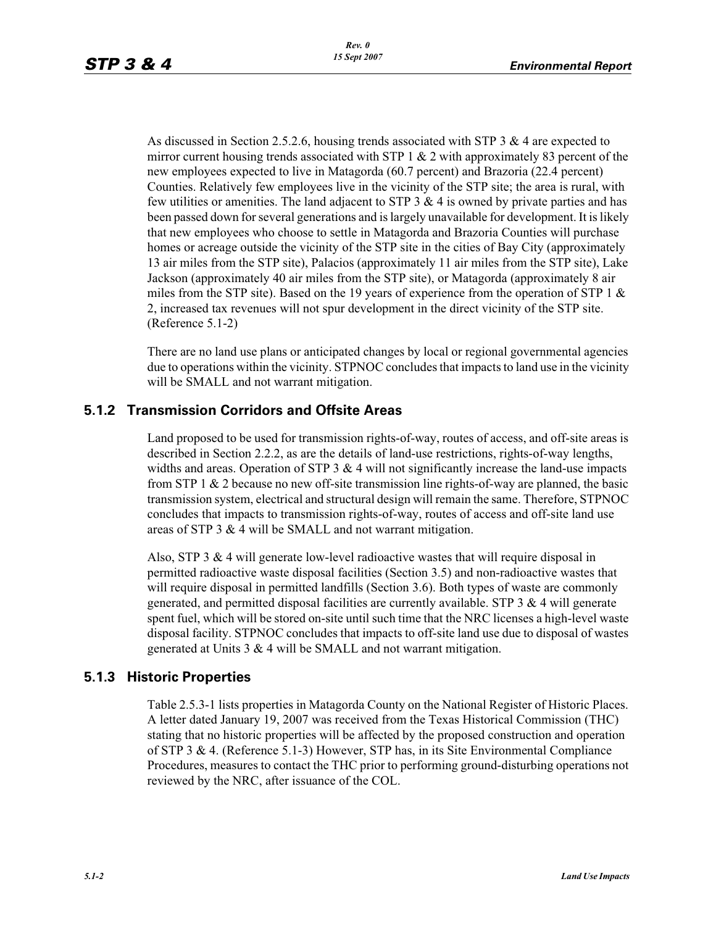As discussed in Section 2.5.2.6, housing trends associated with STP 3 & 4 are expected to mirror current housing trends associated with STP 1  $\&$  2 with approximately 83 percent of the new employees expected to live in Matagorda (60.7 percent) and Brazoria (22.4 percent) Counties. Relatively few employees live in the vicinity of the STP site; the area is rural, with few utilities or amenities. The land adjacent to STP 3  $\&$  4 is owned by private parties and has been passed down for several generations and is largely unavailable for development. It is likely that new employees who choose to settle in Matagorda and Brazoria Counties will purchase homes or acreage outside the vicinity of the STP site in the cities of Bay City (approximately 13 air miles from the STP site), Palacios (approximately 11 air miles from the STP site), Lake Jackson (approximately 40 air miles from the STP site), or Matagorda (approximately 8 air miles from the STP site). Based on the 19 years of experience from the operation of STP 1  $\&$ 2, increased tax revenues will not spur development in the direct vicinity of the STP site. (Reference 5.1-2)

There are no land use plans or anticipated changes by local or regional governmental agencies due to operations within the vicinity. STPNOC concludes that impacts to land use in the vicinity will be SMALL and not warrant mitigation.

## **5.1.2 Transmission Corridors and Offsite Areas**

Land proposed to be used for transmission rights-of-way, routes of access, and off-site areas is described in Section 2.2.2, as are the details of land-use restrictions, rights-of-way lengths, widths and areas. Operation of STP  $3 \& 4$  will not significantly increase the land-use impacts from STP 1 & 2 because no new off-site transmission line rights-of-way are planned, the basic transmission system, electrical and structural design will remain the same. Therefore, STPNOC concludes that impacts to transmission rights-of-way, routes of access and off-site land use areas of STP 3 & 4 will be SMALL and not warrant mitigation.

Also, STP 3 & 4 will generate low-level radioactive wastes that will require disposal in permitted radioactive waste disposal facilities (Section 3.5) and non-radioactive wastes that will require disposal in permitted landfills (Section 3.6). Both types of waste are commonly generated, and permitted disposal facilities are currently available. STP  $3 \& 4$  will generate spent fuel, which will be stored on-site until such time that the NRC licenses a high-level waste disposal facility. STPNOC concludes that impacts to off-site land use due to disposal of wastes generated at Units 3 & 4 will be SMALL and not warrant mitigation.

#### **5.1.3 Historic Properties**

Table 2.5.3-1 lists properties in Matagorda County on the National Register of Historic Places. A letter dated January 19, 2007 was received from the Texas Historical Commission (THC) stating that no historic properties will be affected by the proposed construction and operation of STP 3 & 4. (Reference 5.1-3) However, STP has, in its Site Environmental Compliance Procedures, measures to contact the THC prior to performing ground-disturbing operations not reviewed by the NRC, after issuance of the COL.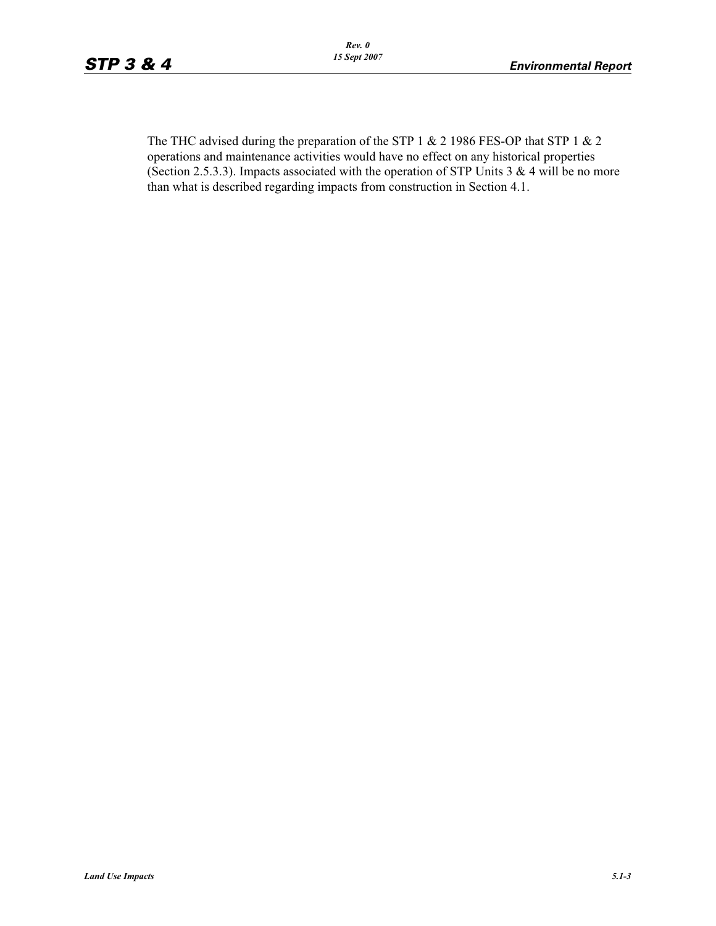The THC advised during the preparation of the STP 1 & 2 1986 FES-OP that STP 1 & 2 operations and maintenance activities would have no effect on any historical properties (Section 2.5.3.3). Impacts associated with the operation of STP Units 3  $& 4$  will be no more than what is described regarding impacts from construction in Section 4.1.